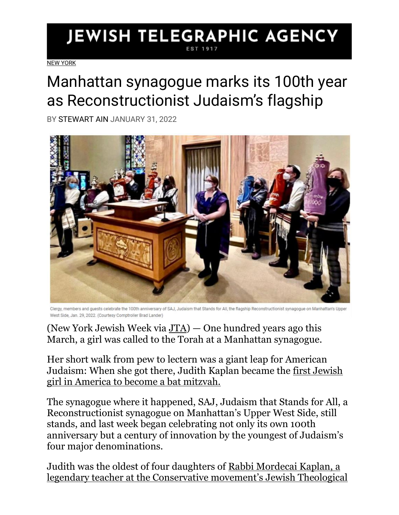## **JEWISH TELEGRAPHIC AGENCY**

[NEW YORK](https://www.jta.org/category/ny)

## Manhattan synagogue marks its 100th year as Reconstructionist Judaism's flagship

BY [STEWART AIN](https://www.jta.org/author/stewart-ain) JANUARY 31, 2022



Clergy, members and guests celebrate the 100th anniversary of SAJ, Judaism that Stands for All, the flagship Reconstructionist synagogue on Manhattan's Upper West Side, Jan. 29, 2022. (Courtesy Comptroller Brad Lander)

(New York Jewish Week via  $JTA$ ) — One hundred years ago this March, a girl was called to the Torah at a Manhattan synagogue.

Her short walk from pew to lectern was a giant leap for American Judaism: When she got there, Judith Kaplan became the [first Jewish](https://www.myjewishlearning.com/article/history-of-bat-mitzvah/)  [girl in America to become a bat mitzvah.](https://www.myjewishlearning.com/article/history-of-bat-mitzvah/)

The synagogue where it happened, SAJ, Judaism that Stands for All, a Reconstructionist synagogue on Manhattan's Upper West Side, still stands, and last week began celebrating not only its own 100th anniversary but a century of innovation by the youngest of Judaism's four major denominations.

Judith was the oldest of four daughters of [Rabbi Mordecai Kaplan, a](https://www.myjewishlearning.com/article/mordecai-kaplan-founder-of-reconstructionist-judaism/)  [legendary teacher at the Conservative movemen](https://www.myjewishlearning.com/article/mordecai-kaplan-founder-of-reconstructionist-judaism/)t's Jewish Theological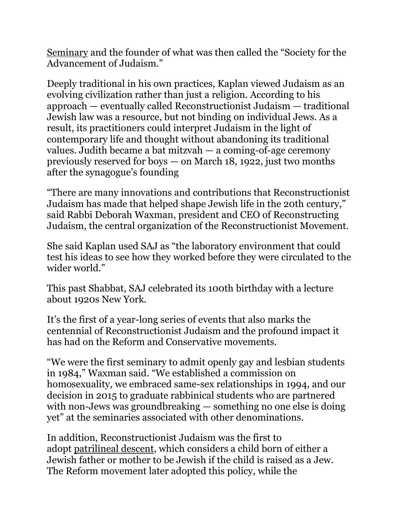[Seminary](https://www.myjewishlearning.com/article/mordecai-kaplan-founder-of-reconstructionist-judaism/) and the founder of what was then called the "Society for the Advancement of Judaism."

Deeply traditional in his own practices, Kaplan viewed Judaism as an evolving civilization rather than just a religion. According to his approach — eventually called Reconstructionist Judaism — traditional Jewish law was a resource, but not binding on individual Jews. As a result, its practitioners could interpret Judaism in the light of contemporary life and thought without abandoning its traditional values. Judith became a bat mitzvah — a coming-of-age ceremony previously reserved for boys — on March 18, 1922, just two months after the synagogue's founding

"There are many innovations and contributions that Reconstructionist Judaism has made that helped shape Jewish life in the 20th century," said Rabbi Deborah Waxman, president and CEO of Reconstructing Judaism, the central organization of the Reconstructionist Movement.

She said Kaplan used SAJ as "the laboratory environment that could test his ideas to see how they worked before they were circulated to the wider world."

This past Shabbat, SAJ celebrated its 100th birthday with a lecture about 1920s New York.

It's the first of a year-long series of events that also marks the centennial of Reconstructionist Judaism and the profound impact it has had on the Reform and Conservative movements.

"We were the first seminary to admit openly gay and lesbian students in 1984," Waxman said. "We established a commission on homosexuality, we embraced same-sex relationships in 1994, and our decision in 2015 to graduate rabbinical students who are partnered with non-Jews was groundbreaking — something no one else is doing yet" at the seminaries associated with other denominations.

In addition, Reconstructionist Judaism was the first to adopt [patrilineal descent,](https://www.myjewishlearning.com/article/patrilineal-descent/) which considers a child born of either a Jewish father or mother to be Jewish if the child is raised as a Jew. The Reform movement later adopted this policy, while the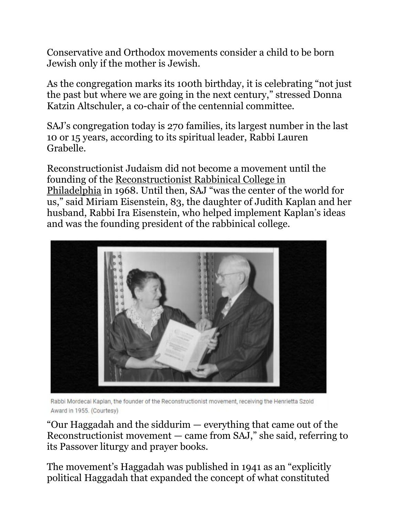Conservative and Orthodox movements consider a child to be born Jewish only if the mother is Jewish.

As the congregation marks its 100th birthday, it is celebrating "not just the past but where we are going in the next century," stressed Donna Katzin Altschuler, a co-chair of the centennial committee.

SAJ's congregation today is 270 families, its largest number in the last 10 or 15 years, according to its spiritual leader, Rabbi Lauren Grabelle.

Reconstructionist Judaism did not become a movement until the founding of the [Reconstructionist Rabbinical College in](https://www.jta.org/quick-reads/a-black-and-jewish-bible-scholar-will-lead-reconstructionist-rabbinical-school-in-a-first-for-american-jewish-movements)  [Philadelphia](https://www.jta.org/quick-reads/a-black-and-jewish-bible-scholar-will-lead-reconstructionist-rabbinical-school-in-a-first-for-american-jewish-movements) in 1968. Until then, SAJ "was the center of the world for us," said Miriam Eisenstein, 83, the daughter of Judith Kaplan and her husband, Rabbi Ira Eisenstein, who helped implement Kaplan's ideas and was the founding president of the rabbinical college.



Rabbi Mordecai Kaplan, the founder of the Reconstructionist movement, receiving the Henrietta Szold Award in 1955. (Courtesy)

"Our Haggadah and the siddurim — everything that came out of the Reconstructionist movement — came from SAJ," she said, referring to its Passover liturgy and prayer books.

The movement's Haggadah was published in 1941 as an "explicitly political Haggadah that expanded the concept of what constituted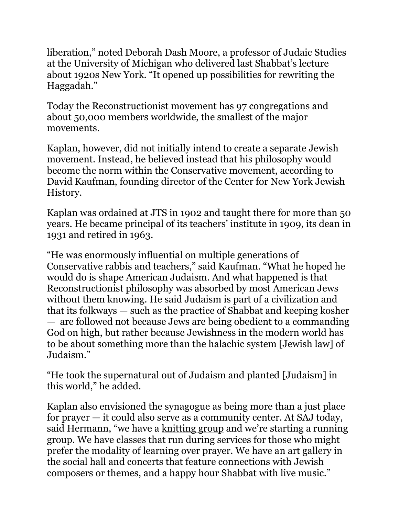liberation," noted Deborah Dash Moore, a professor of Judaic Studies at the University of Michigan who delivered last Shabbat's lecture about 1920s New York. "It opened up possibilities for rewriting the Haggadah."

Today the Reconstructionist movement has 97 congregations and about 50,000 members worldwide, the smallest of the major movements.

Kaplan, however, did not initially intend to create a separate Jewish movement. Instead, he believed instead that his philosophy would become the norm within the Conservative movement, according to David Kaufman, founding director of the Center for New York Jewish History.

Kaplan was ordained at JTS in 1902 and taught there for more than 50 years. He became principal of its teachers' institute in 1909, its dean in 1931 and retired in 1963.

"He was enormously influential on multiple generations of Conservative rabbis and teachers," said Kaufman. "What he hoped he would do is shape American Judaism. And what happened is that Reconstructionist philosophy was absorbed by most American Jews without them knowing. He said Judaism is part of a civilization and that its folkways — such as the practice of Shabbat and keeping kosher — are followed not because Jews are being obedient to a commanding God on high, but rather because Jewishness in the modern world has to be about something more than the halachic system [Jewish law] of Judaism."

"He took the supernatural out of Judaism and planted [Judaism] in this world," he added.

Kaplan also envisioned the synagogue as being more than a just place for prayer — it could also serve as a community center. At SAJ today, said Hermann, "we have a [knitting group](https://www.jta.org/2022/01/26/ny/a-holocaust-survivor-spends-her-110th-birthday-knitting-the-craft-that-was-key-to-her-survival) and we're starting a running group. We have classes that run during services for those who might prefer the modality of learning over prayer. We have an art gallery in the social hall and concerts that feature connections with Jewish composers or themes, and a happy hour Shabbat with live music."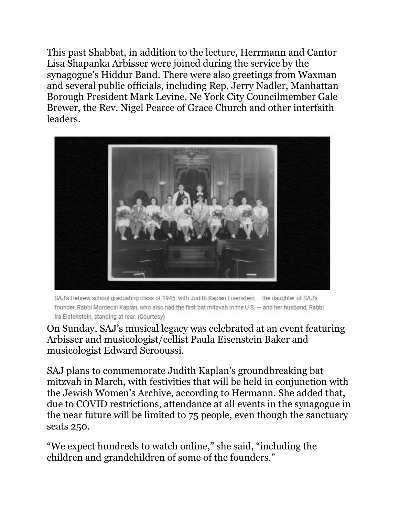This past Shabbat, in addition to the lecture, Herrmann and Cantor Lisa Shapanka Arbisser were joined during the service by the synagogue's Hiddur Band. There were also greetings from Waxman and several public officials, including Rep. Jerry Nadler, Manhattan Borough President Mark Levine, Ne York City Councilmember Gale Brewer, the Rev. Nigel Pearce of Grace Church and other interfaith leaders.



SAJ's Hebrew school graduating class of 1945, with Judith Kaplan Eisenstein - the daughter of SAJ's founder, Rabbi Mordecai Kaplan, who also had the first bat mitzvah in the U.S. - and her husband, Rabbi Ira Eistenstein, standing at rear. (Courtesy)

On Sunday, SAJ's musical legacy was celebrated at an event featuring Arbisser and musicologist/cellist Paula Eisenstein Baker and musicologist Edward Serooussi.

SAJ plans to commemorate Judith Kaplan's groundbreaking bat mitzvah in March, with festivities that will be held in conjunction with the Jewish Women's Archive, according to Hermann. She added that, due to COVID restrictions, attendance at all events in the synagogue in the near future will be limited to 75 people, even though the sanctuary seats 250.

"We expect hundreds to watch online," she said, "including the children and grandchildren of some of the founders."